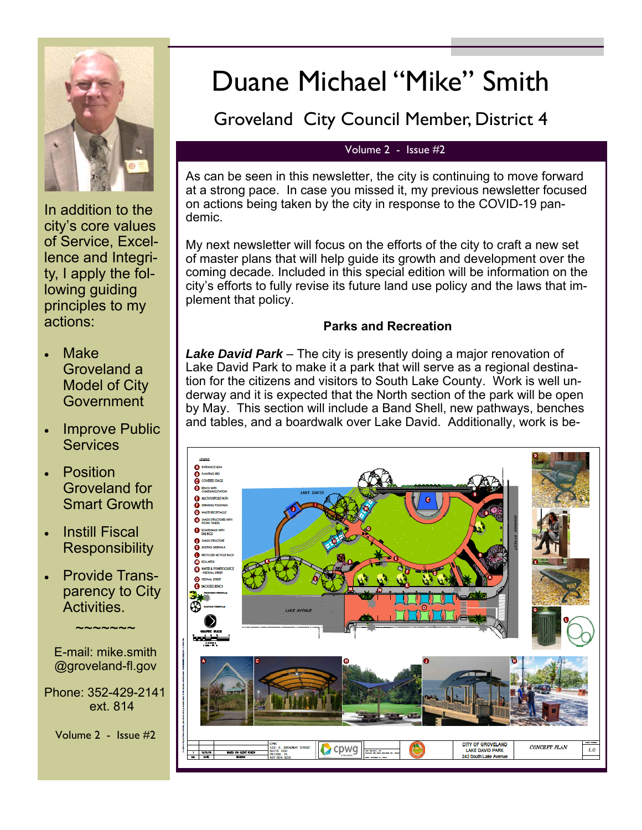

In addition to the city's core values of Service, Excellence and Integrity, I apply the following guiding principles to my actions:

- Make Groveland a Model of City Government
- Improve Public **Services**
- Position Groveland for Smart Growth
- Instill Fiscal **Responsibility**
- Provide Transparency to City Activities.

E-mail: mike.smith @groveland-fl.gov

 $\sim$ ~~~~

Phone: 352-429-2141 ext. 814

Volume 2 - Issue #2

# Duane Michael "Mike" Smith

# Groveland City Council Member, District 4

# Volume 2 - Issue #2

As can be seen in this newsletter, the city is continuing to move forward at a strong pace. In case you missed it, my previous newsletter focused on actions being taken by the city in response to the COVID-19 pandemic.

My next newsletter will focus on the efforts of the city to craft a new set of master plans that will help guide its growth and development over the coming decade. Included in this special edition will be information on the city's efforts to fully revise its future land use policy and the laws that implement that policy.

# **Parks and Recreation**

*Lake David Park* – The city is presently doing a major renovation of Lake David Park to make it a park that will serve as a regional destination for the citizens and visitors to South Lake County. Work is well underway and it is expected that the North section of the park will be open by May. This section will include a Band Shell, new pathways, benches and tables, and a boardwalk over Lake David. Additionally, work is be-

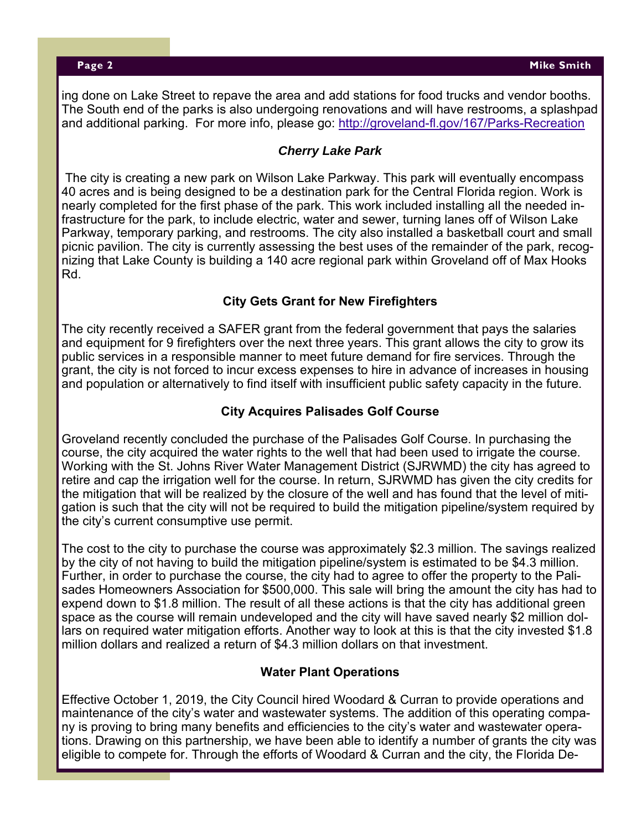ing done on Lake Street to repave the area and add stations for food trucks and vendor booths. The South end of the parks is also undergoing renovations and will have restrooms, a splashpad and additional parking. For more info, please go: http://groveland-fl.gov/167/Parks-Recreation

# *Cherry Lake Park*

The city is creating a new park on Wilson Lake Parkway. This park will eventually encompass 40 acres and is being designed to be a destination park for the Central Florida region. Work is nearly completed for the first phase of the park. This work included installing all the needed infrastructure for the park, to include electric, water and sewer, turning lanes off of Wilson Lake Parkway, temporary parking, and restrooms. The city also installed a basketball court and small picnic pavilion. The city is currently assessing the best uses of the remainder of the park, recognizing that Lake County is building a 140 acre regional park within Groveland off of Max Hooks Rd.

# **City Gets Grant for New Firefighters**

The city recently received a SAFER grant from the federal government that pays the salaries and equipment for 9 firefighters over the next three years. This grant allows the city to grow its public services in a responsible manner to meet future demand for fire services. Through the grant, the city is not forced to incur excess expenses to hire in advance of increases in housing and population or alternatively to find itself with insufficient public safety capacity in the future.

# **City Acquires Palisades Golf Course**

Groveland recently concluded the purchase of the Palisades Golf Course. In purchasing the course, the city acquired the water rights to the well that had been used to irrigate the course. Working with the St. Johns River Water Management District (SJRWMD) the city has agreed to retire and cap the irrigation well for the course. In return, SJRWMD has given the city credits for the mitigation that will be realized by the closure of the well and has found that the level of mitigation is such that the city will not be required to build the mitigation pipeline/system required by the city's current consumptive use permit.

The cost to the city to purchase the course was approximately \$2.3 million. The savings realized by the city of not having to build the mitigation pipeline/system is estimated to be \$4.3 million. Further, in order to purchase the course, the city had to agree to offer the property to the Palisades Homeowners Association for \$500,000. This sale will bring the amount the city has had to expend down to \$1.8 million. The result of all these actions is that the city has additional green space as the course will remain undeveloped and the city will have saved nearly \$2 million dollars on required water mitigation efforts. Another way to look at this is that the city invested \$1.8 million dollars and realized a return of \$4.3 million dollars on that investment.

# **Water Plant Operations**

Effective October 1, 2019, the City Council hired Woodard & Curran to provide operations and maintenance of the city's water and wastewater systems. The addition of this operating company is proving to bring many benefits and efficiencies to the city's water and wastewater operations. Drawing on this partnership, we have been able to identify a number of grants the city was eligible to compete for. Through the efforts of Woodard & Curran and the city, the Florida De-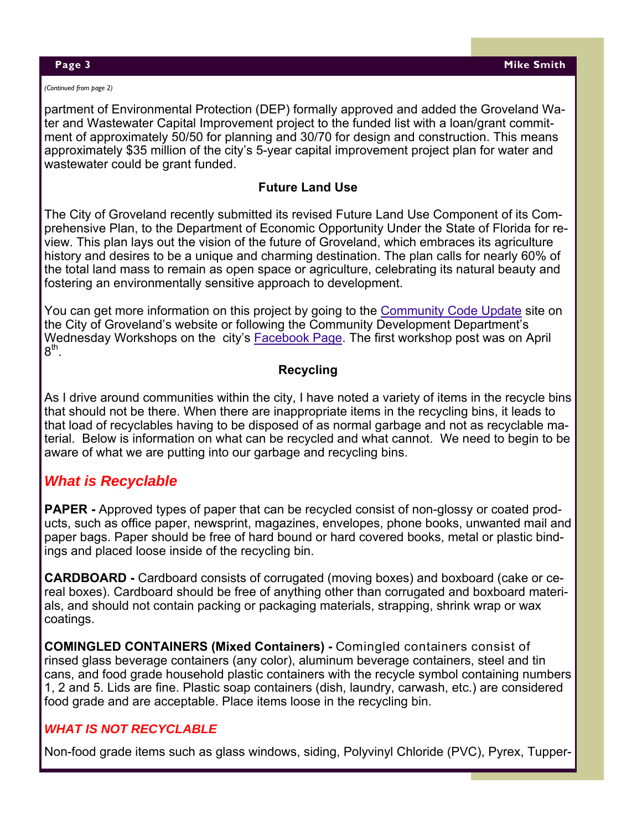partment of Environmental Protection (DEP) formally approved and added the Groveland Water and Wastewater Capital Improvement project to the funded list with a loan/grant commitment of approximately 50/50 for planning and 30/70 for design and construction. This means approximately \$35 million of the city's 5-year capital improvement project plan for water and wastewater could be grant funded.

# **Future Land Use**

The City of Groveland recently submitted its revised Future Land Use Component of its Comprehensive Plan, to the Department of Economic Opportunity Under the State of Florida for review. This plan lays out the vision of the future of Groveland, which embraces its agriculture history and desires to be a unique and charming destination. The plan calls for nearly 60% of the total land mass to remain as open space or agriculture, celebrating its natural beauty and fostering an environmentally sensitive approach to development.

You can get more information on this project by going to the Community Code Update site on the City of Groveland's website or following the Community Development Department's Wednesday Workshops on the city's Facebook Page. The first workshop post was on April  $8^{\sf th}$ .

# **Recycling**

As I drive around communities within the city, I have noted a variety of items in the recycle bins that should not be there. When there are inappropriate items in the recycling bins, it leads to that load of recyclables having to be disposed of as normal garbage and not as recyclable material. Below is information on what can be recycled and what cannot. We need to begin to be aware of what we are putting into our garbage and recycling bins.

# *What is Recyclable*

**PAPER -** Approved types of paper that can be recycled consist of non-glossy or coated products, such as office paper, newsprint, magazines, envelopes, phone books, unwanted mail and paper bags. Paper should be free of hard bound or hard covered books, metal or plastic bindings and placed loose inside of the recycling bin.

**CARDBOARD -** Cardboard consists of corrugated (moving boxes) and boxboard (cake or cereal boxes). Cardboard should be free of anything other than corrugated and boxboard materials, and should not contain packing or packaging materials, strapping, shrink wrap or wax coatings.

**COMINGLED CONTAINERS (Mixed Containers) -** Comingled containers consist of rinsed glass beverage containers (any color), aluminum beverage containers, steel and tin cans, and food grade household plastic containers with the recycle symbol containing numbers 1, 2 and 5. Lids are fine. Plastic soap containers (dish, laundry, carwash, etc.) are considered food grade and are acceptable. Place items loose in the recycling bin.

# *WHAT IS NOT RECYCLABLE*

Non-food grade items such as glass windows, siding, Polyvinyl Chloride (PVC), Pyrex, Tupper-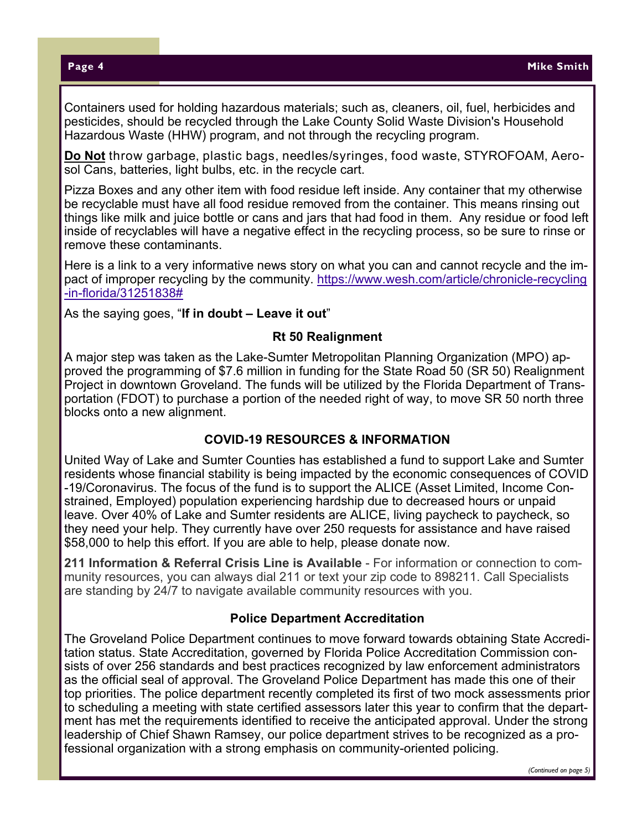Containers used for holding hazardous materials; such as, cleaners, oil, fuel, herbicides and pesticides, should be recycled through the Lake County Solid Waste Division's Household Hazardous Waste (HHW) program, and not through the recycling program.

**Do Not** throw garbage, plastic bags, needles/syringes, food waste, STYROFOAM, Aerosol Cans, batteries, light bulbs, etc. in the recycle cart.

Pizza Boxes and any other item with food residue left inside. Any container that my otherwise be recyclable must have all food residue removed from the container. This means rinsing out things like milk and juice bottle or cans and jars that had food in them. Any residue or food left inside of recyclables will have a negative effect in the recycling process, so be sure to rinse or remove these contaminants.

Here is a link to a very informative news story on what you can and cannot recycle and the impact of improper recycling by the community. https://www.wesh.com/article/chronicle-recycling -in-florida/31251838#

As the saying goes, "**If in doubt – Leave it out**"

# **Rt 50 Realignment**

A major step was taken as the Lake-Sumter Metropolitan Planning Organization (MPO) approved the programming of \$7.6 million in funding for the State Road 50 (SR 50) Realignment Project in downtown Groveland. The funds will be utilized by the Florida Department of Transportation (FDOT) to purchase a portion of the needed right of way, to move SR 50 north three blocks onto a new alignment.

# **COVID-19 RESOURCES & INFORMATION**

United Way of Lake and Sumter Counties has established a fund to support Lake and Sumter residents whose financial stability is being impacted by the economic consequences of COVID -19/Coronavirus. The focus of the fund is to support the ALICE (Asset Limited, Income Constrained, Employed) population experiencing hardship due to decreased hours or unpaid leave. Over 40% of Lake and Sumter residents are ALICE, living paycheck to paycheck, so they need your help. They currently have over 250 requests for assistance and have raised \$58,000 to help this effort. If you are able to help, please donate now.

**211 Information & Referral Crisis Line is Available** - For information or connection to community resources, you can always dial 211 or text your zip code to 898211. Call Specialists are standing by 24/7 to navigate available community resources with you.

# **Police Department Accreditation**

The Groveland Police Department continues to move forward towards obtaining State Accreditation status. State Accreditation, governed by Florida Police Accreditation Commission consists of over 256 standards and best practices recognized by law enforcement administrators as the official seal of approval. The Groveland Police Department has made this one of their top priorities. The police department recently completed its first of two mock assessments prior to scheduling a meeting with state certified assessors later this year to confirm that the department has met the requirements identified to receive the anticipated approval. Under the strong leadership of Chief Shawn Ramsey, our police department strives to be recognized as a professional organization with a strong emphasis on community-oriented policing.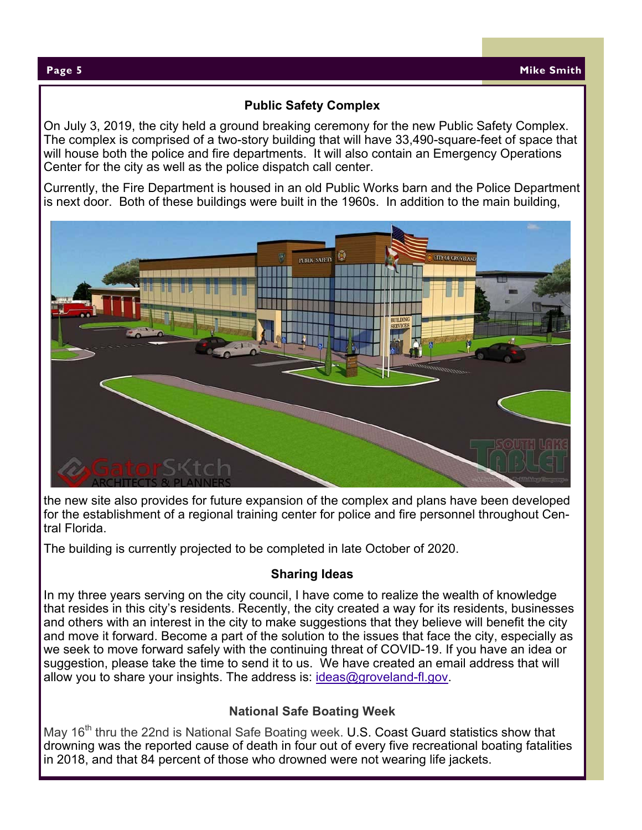# **Public Safety Complex**

On July 3, 2019, the city held a ground breaking ceremony for the new Public Safety Complex. The complex is comprised of a two-story building that will have 33,490-square-feet of space that will house both the police and fire departments. It will also contain an Emergency Operations Center for the city as well as the police dispatch call center.

Currently, the Fire Department is housed in an old Public Works barn and the Police Department is next door. Both of these buildings were built in the 1960s. In addition to the main building,



the new site also provides for future expansion of the complex and plans have been developed for the establishment of a regional training center for police and fire personnel throughout Central Florida.

The building is currently projected to be completed in late October of 2020.

# **Sharing Ideas**

In my three years serving on the city council, I have come to realize the wealth of knowledge that resides in this city's residents. Recently, the city created a way for its residents, businesses and others with an interest in the city to make suggestions that they believe will benefit the city and move it forward. Become a part of the solution to the issues that face the city, especially as we seek to move forward safely with the continuing threat of COVID-19. If you have an idea or suggestion, please take the time to send it to us. We have created an email address that will allow you to share your insights. The address is: ideas@groveland-fl.gov.

# **National Safe Boating Week**

May 16<sup>th</sup> thru the 22nd is National Safe Boating week. U.S. Coast Guard statistics show that drowning was the reported cause of death in four out of every five recreational boating fatalities in 2018, and that 84 percent of those who drowned were not wearing life jackets.